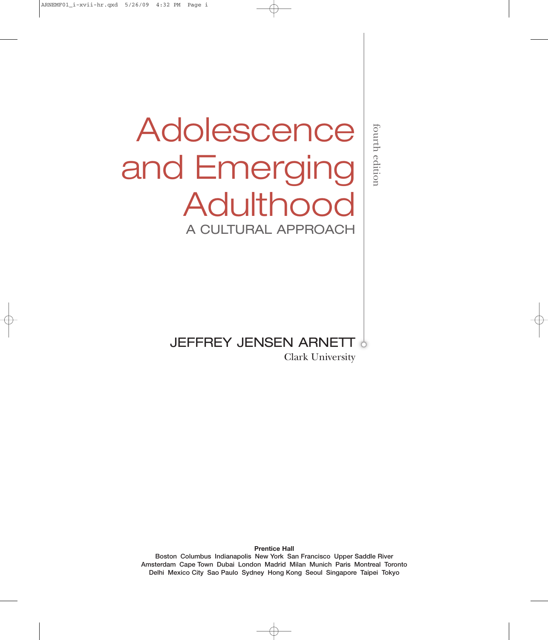fourth edition fourth edition

# Adolescence and Emergir **Adulthood** A CULTURAL APPROACH

### Clark University JEFFREY JENSEN ARNETT  $\frac{1}{6}$

**Prentice Hall**

**Boston Columbus Indianapolis New York San Francisco Upper Saddle River Amsterdam Cape Town Dubai London Madrid Milan Munich Paris Montreal Toronto Delhi Mexico City Sao Paulo Sydney Hong Kong Seoul Singapore Taipei Tokyo**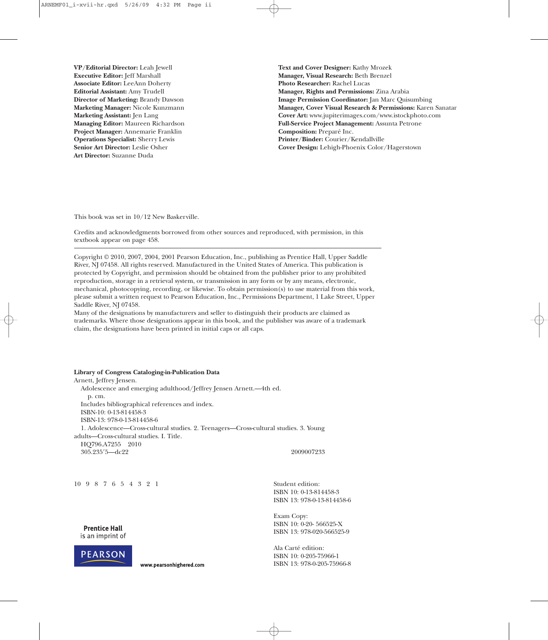**VP/Editorial Director:** Leah Jewell **Executive Editor:** Jeff Marshall **Associate Editor:** LeeAnn Doherty **Editorial Assistant:** Amy Trudell **Director of Marketing:** Brandy Dawson **Marketing Manager:** Nicole Kunzmann **Marketing Assistant:** Jen Lang **Managing Editor:** Maureen Richardson **Project Manager:** Annemarie Franklin **Operations Specialist:** Sherry Lewis **Senior Art Director:** Leslie Osher **Art Director:** Suzanne Duda

**Text and Cover Designer:** Kathy Mrozek **Manager, Visual Research:** Beth Brenzel **Photo Researcher:** Rachel Lucas **Manager, Rights and Permissions:** Zina Arabia **Image Permission Coordinator:** Jan Marc Quisumbing **Manager, Cover Visual Research & Permissions:** Karen Sanatar **Cover Art:** www.jupiterimages.com/www.istockphoto.com **Full-Service Project Management:** Assunta Petrone **Composition:** Preparé Inc. **Printer/Binder:** Courier/Kendallville **Cover Design:** Lehigh-Phoenix Color/Hagerstown

This book was set in 10/12 New Baskerville.

Credits and acknowledgments borrowed from other sources and reproduced, with permission, in this textbook appear on page 458.

Copyright © 2010, 2007, 2004, 2001 Pearson Education, Inc., publishing as Prentice Hall, Upper Saddle River, NJ 07458. All rights reserved. Manufactured in the United States of America. This publication is protected by Copyright, and permission should be obtained from the publisher prior to any prohibited reproduction, storage in a retrieval system, or transmission in any form or by any means, electronic, mechanical, photocopying, recording, or likewise. To obtain permission(s) to use material from this work, please submit a written request to Pearson Education, Inc., Permissions Department, 1 Lake Street, Upper Saddle River, NJ 07458.

Many of the designations by manufacturers and seller to distinguish their products are claimed as trademarks. Where those designations appear in this book, and the publisher was aware of a trademark claim, the designations have been printed in initial caps or all caps.

#### **Library of Congress Cataloging-in-Publication Data**

Arnett, Jeffrey Jensen. Adolescence and emerging adulthood/Jeffrey Jensen Arnett.—4th ed. p. cm. Includes bibliographical references and index. ISBN-10: 0-13-814458-3 ISBN-13: 978-0-13-814458-6 1. Adolescence—Cross-cultural studies. 2. Teenagers—Cross-cultural studies. 3. Young adults—Cross-cultural studies. I. Title. HQ796.A7255 2010 305.2355—dc22 2009007233

10 9 8 7 6 5 4 3 2 1

**Prentice Hall** is an imprint of



www.pearsonhighered.com

Student edition: ISBN 10: 0-13-814458-3 ISBN 13: 978-0-13-814458-6

Exam Copy: ISBN 10: 0-20- 566525-X ISBN 13: 978-020-566525-9

Ala Carté edition: ISBN 10: 0-205-75966-1 ISBN 13: 978-0-205-75966-8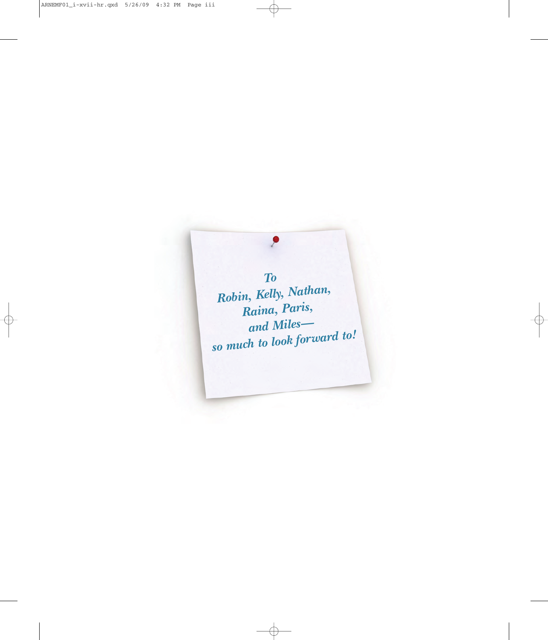*To Robin, Kelly, Nathan, Raina, Paris, and Miles so much to look forward to!*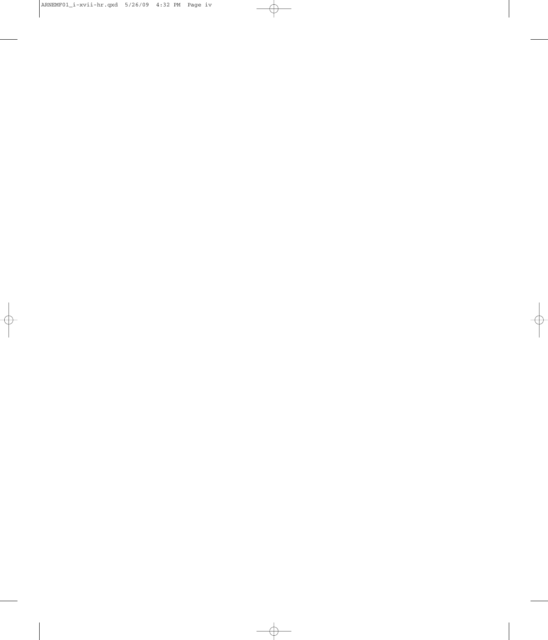ARNEMF01\_i-xvii-hr.qxd 5/26/09 4:32 PM Page iv

 $\overline{\mathrm{\bigtriangledown}}$ 

 $\bigoplus$ 

 $\overline{\bigoplus}$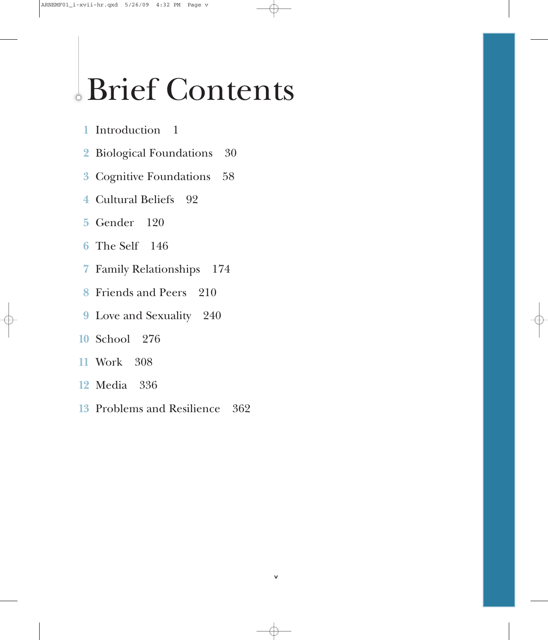# Brief Contents

- Introduction 1
- Biological Foundations 30
- Cognitive Foundations 58
- Cultural Beliefs 92
- Gender 120
- The Self 146
- Family Relationships 174
- Friends and Peers 210
- Love and Sexuality 240
- School 276
- Work 308
- Media 336
- Problems and Resilience 362

v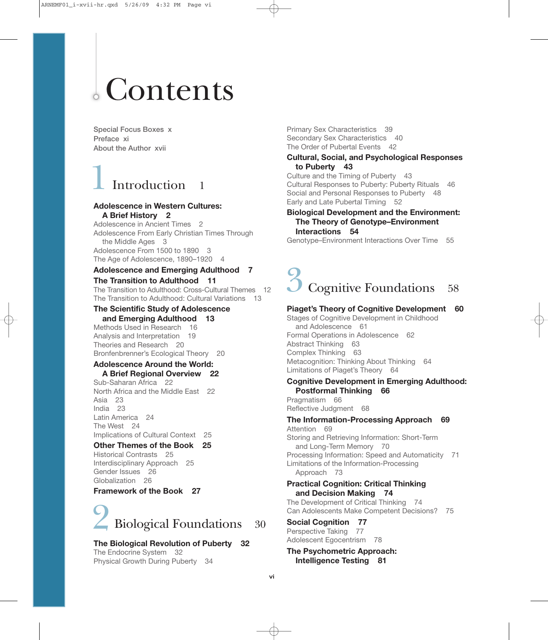# Contents

**Special Focus Boxes x Preface xi About the Author xvii**

## **Introduction** 1

#### **Adolescence in Western Cultures: A Brief History 2**

Adolescence in Ancient Times 2 Adolescence From Early Christian Times Through the Middle Ages 3 Adolescence From 1500 to 1890 3 The Age of Adolescence, 1890–1920 4

#### **Adolescence and Emerging Adulthood 7**

#### **The Transition to Adulthood 11**

The Transition to Adulthood: Cross-Cultural Themes 12 The Transition to Adulthood: Cultural Variations 13

#### **The Scientific Study of Adolescence and Emerging Adulthood 13**

Methods Used in Research 16 Analysis and Interpretation 19 Theories and Research 20 Bronfenbrenner's Ecological Theory 20

#### **Adolescence Around the World: A Brief Regional Overview 22**

Sub-Saharan Africa 22 North Africa and the Middle East 22 Asia 23 India 23 Latin America 24 The West 24 Implications of Cultural Context 25

#### **Other Themes of the Book 25**

Historical Contrasts 25 Interdisciplinary Approach 25 Gender Issues 26 Globalization 26

#### **Framework of the Book 27**

## Biological Foundations 30 2

#### **The Biological Revolution of Puberty 32**

The Endocrine System 32 Physical Growth During Puberty 34 Primary Sex Characteristics 39 Secondary Sex Characteristics 40 The Order of Pubertal Events 42

#### **Cultural, Social, and Psychological Responses to Puberty 43**

Culture and the Timing of Puberty 43 Cultural Responses to Puberty: Puberty Rituals 46 Social and Personal Responses to Puberty 48 Early and Late Pubertal Timing 52

#### **Biological Development and the Environment: The Theory of Genotype–Environment Interactions 54**

Genotype–Environment Interactions Over Time 55

## Cognitive Foundations 58 3

#### **Piaget's Theory of Cognitive Development 60**

Stages of Cognitive Development in Childhood and Adolescence 61 Formal Operations in Adolescence 62 Abstract Thinking 63 Complex Thinking 63 Metacognition: Thinking About Thinking 64 Limitations of Piaget's Theory 64

#### **Cognitive Development in Emerging Adulthood: Postformal Thinking 66**

Pragmatism 66 Reflective Judgment 68

#### **The Information-Processing Approach 69** Attention 69

Storing and Retrieving Information: Short-Term and Long-Term Memory 70 Processing Information: Speed and Automaticity 71 Limitations of the Information-Processing Approach 73

#### **Practical Cognition: Critical Thinking and Decision Making 74**

The Development of Critical Thinking 74 Can Adolescents Make Competent Decisions? 75

**Social Cognition 77** Perspective Taking 77 Adolescent Egocentrism 78

**The Psychometric Approach: Intelligence Testing 81**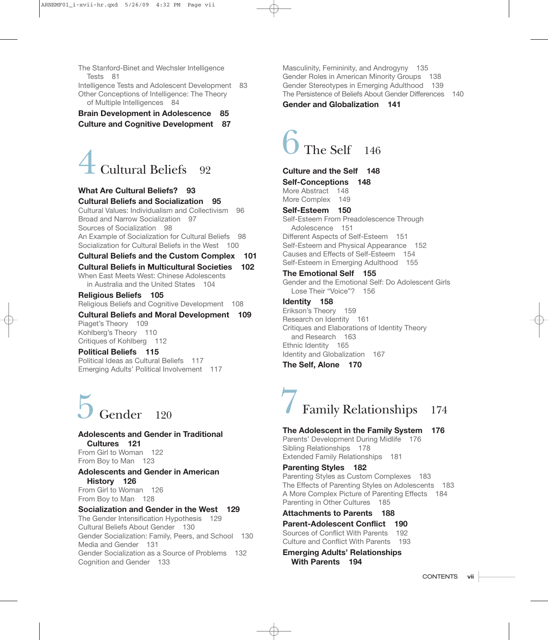The Stanford-Binet and Wechsler Intelligence Tests 81

Intelligence Tests and Adolescent Development 83 Other Conceptions of Intelligence: The Theory of Multiple Intelligences 84

#### **Brain Development in Adolescence 85 Culture and Cognitive Development 87**

Cultural Beliefs 92 4

**What Are Cultural Beliefs? 93 Cultural Beliefs and Socialization 95** Cultural Values: Individualism and Collectivism 96 Broad and Narrow Socialization 97 Sources of Socialization 98 An Example of Socialization for Cultural Beliefs 98 Socialization for Cultural Beliefs in the West 100

#### **Cultural Beliefs and the Custom Complex 101**

**Cultural Beliefs in Multicultural Societies 102** When East Meets West: Chinese Adolescents

in Australia and the United States 104

**Religious Beliefs 105** Religious Beliefs and Cognitive Development 108

**Cultural Beliefs and Moral Development 109** Piaget's Theory 109 Kohlberg's Theory 110

#### Critiques of Kohlberg 112 **Political Beliefs 115** Political Ideas as Cultural Beliefs 117

Emerging Adults' Political Involvement 117

## Gender 120 5

#### **Adolescents and Gender in Traditional Cultures 121**

From Girl to Woman 122 From Boy to Man 123

#### **Adolescents and Gender in American History 126**

From Girl to Woman 126 From Boy to Man 128

#### **Socialization and Gender in the West 129**

The Gender Intensification Hypothesis 129 Cultural Beliefs About Gender 130 Gender Socialization: Family, Peers, and School 130 Media and Gender 131 Gender Socialization as a Source of Problems 132 Cognition and Gender 133

Masculinity, Femininity, and Androgyny 135 Gender Roles in American Minority Groups 138 Gender Stereotypes in Emerging Adulthood 139 The Persistence of Beliefs About Gender Differences 140

#### **Gender and Globalization 141**

The Self 146 6

#### **Culture and the Self 148**

**Self-Conceptions 148** More Abstract 148

#### More Complex 149 **Self-Esteem 150**

Self-Esteem From Preadolescence Through Adolescence 151 Different Aspects of Self-Esteem 151 Self-Esteem and Physical Appearance 152 Causes and Effects of Self-Esteem 154 Self-Esteem in Emerging Adulthood 155

#### **The Emotional Self 155**

Gender and the Emotional Self: Do Adolescent Girls Lose Their "Voice"? 156

#### **Identity 158**

Erikson's Theory 159 Research on Identity 161 Critiques and Elaborations of Identity Theory and Research 163 Ethnic Identity 165 Identity and Globalization 167 **The Self, Alone 170**

## Family Relationships 174 7

#### **The Adolescent in the Family System 176**

Parents' Development During Midlife 176 Sibling Relationships 178 Extended Family Relationships 181

#### **Parenting Styles 182**

Parenting Styles as Custom Complexes 183 The Effects of Parenting Styles on Adolescents 183 A More Complex Picture of Parenting Effects 184 Parenting in Other Cultures 185

#### **Attachments to Parents 188**

**Parent-Adolescent Conflict 190** Sources of Conflict With Parents 192 Culture and Conflict With Parents 193

**Emerging Adults' Relationships With Parents 194**

CONTENTS vii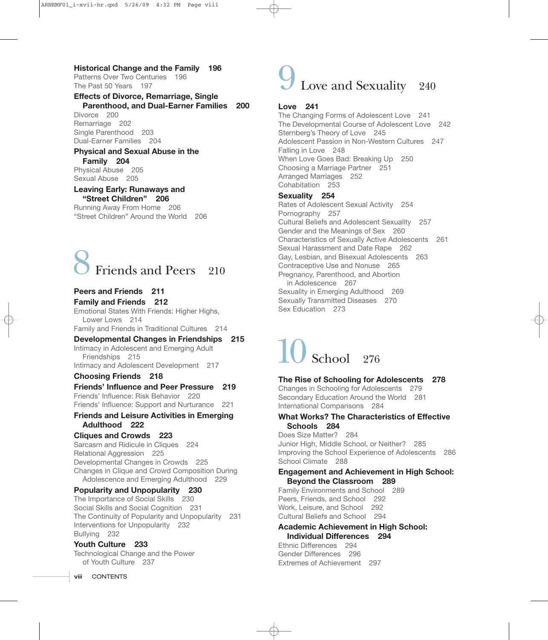**Historical Change and the Family 196** Patterns Over Two Centuries 196 The Past 50 Years 197

**Effects of Divorce, Remarriage, Single Parenthood, and Dual-Earner Families 200** Divorce 200 Remarriage 202 Single Parenthood 203 Dual-Earner Families 204

**Physical and Sexual Abuse in the Family 204**

Physical Abuse 205 Sexual Abuse 205

**Leaving Early: Runaways and "Street Children" 206**

Running Away From Home 206 "Street Children" Around the World 206



#### **Peers and Friends 211**

**Family and Friends 212** Emotional States With Friends: Higher Highs, Lower Lows 214

Family and Friends in Traditional Cultures 214

**Developmental Changes in Friendships 215** Intimacy in Adolescent and Emerging Adult

Friendships 215

Intimacy and Adolescent Development 217

#### **Choosing Friends 218**

**Friends' Influence and Peer Pressure 219** Friends' Influence: Risk Behavior 220

Friends' Influence: Support and Nurturance 221

#### **Friends and Leisure Activities in Emerging Adulthood 222**

#### **Cliques and Crowds 223**

Sarcasm and Ridicule in Cliques 224 Relational Aggression 225 Developmental Changes in Crowds 225 Changes in Clique and Crowd Composition During Adolescence and Emerging Adulthood 229

#### **Popularity and Unpopularity 230**

The Importance of Social Skills 230 Social Skills and Social Cognition 231 The Continuity of Popularity and Unpopularity 231 Interventions for Unpopularity 232 Bullying 232

#### **Youth Culture 233**

Technological Change and the Power of Youth Culture 237

## Love and Sexuality 240 9

#### **Love 241**

The Changing Forms of Adolescent Love 241 The Developmental Course of Adolescent Love 242 Sternberg's Theory of Love 245 Adolescent Passion in Non-Western Cultures 247 Falling in Love 248 When Love Goes Bad: Breaking Up 250 Choosing a Marriage Partner 251 Arranged Marriages 252 Cohabitation 253

#### **Sexuality 254**

Rates of Adolescent Sexual Activity 254 Pornography 257 Cultural Beliefs and Adolescent Sexuality 257 Gender and the Meanings of Sex 260 Characteristics of Sexually Active Adolescents 261 Sexual Harassment and Date Rape 262 Gay, Lesbian, and Bisexual Adolescents 263 Contraceptive Use and Nonuse 265 Pregnancy, Parenthood, and Abortion in Adolescence 267 Sexuality in Emerging Adulthood 269 Sexually Transmitted Diseases 270 Sex Education 273

## School 276 10

#### **The Rise of Schooling for Adolescents 278**

Changes in Schooling for Adolescents 279 Secondary Education Around the World 281 International Comparisons 284

#### **What Works? The Characteristics of Effective Schools 284**

Does Size Matter? 284 Junior High, Middle School, or Neither? 285 Improving the School Experience of Adolescents 286 School Climate 288

#### **Engagement and Achievement in High School: Beyond the Classroom 289**

Family Environments and School 289 Peers, Friends, and School 292 Work, Leisure, and School 292 Cultural Beliefs and School 294

#### **Academic Achievement in High School: Individual Differences 294**

Ethnic Differences 294 Gender Differences 296 Extremes of Achievement 297

viii CONTENTS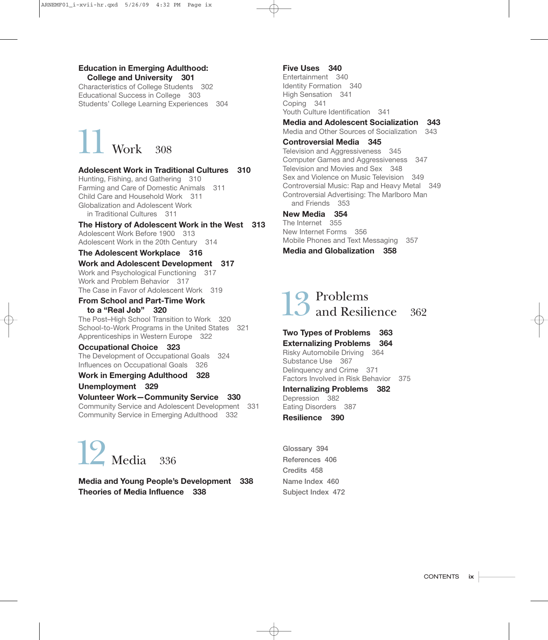#### **Education in Emerging Adulthood: College and University 301**

Characteristics of College Students 302 Educational Success in College 303 Students' College Learning Experiences 304

Work 308 11

#### **Adolescent Work in Traditional Cultures 310**

Hunting, Fishing, and Gathering 310 Farming and Care of Domestic Animals 311 Child Care and Household Work 311 Globalization and Adolescent Work in Traditional Cultures 311

**The History of Adolescent Work in the West 313** Adolescent Work Before 1900 313 Adolescent Work in the 20th Century 314

#### **The Adolescent Workplace 316**

**Work and Adolescent Development 317** Work and Psychological Functioning 317 Work and Problem Behavior 317 The Case in Favor of Adolescent Work 319

#### **From School and Part-Time Work to a "Real Job" 320**

The Post–High School Transition to Work 320 School-to-Work Programs in the United States 321 Apprenticeships in Western Europe 322

#### **Occupational Choice 323**

The Development of Occupational Goals 324 Influences on Occupational Goals 326

#### **Work in Emerging Adulthood 328 Unemployment 329**

#### **Volunteer Work—Community Service 330**

Community Service and Adolescent Development 331 Community Service in Emerging Adulthood 332



**Media and Young People's Development 338 Theories of Media Influence 338**

#### **Five Uses 340**

Entertainment 340 Identity Formation 340 High Sensation 341 Coping 341 Youth Culture Identification 341

**Media and Adolescent Socialization 343** Media and Other Sources of Socialization 343

#### **Controversial Media 345**

Television and Aggressiveness 345 Computer Games and Aggressiveness 347 Television and Movies and Sex 348 Sex and Violence on Music Television 349 Controversial Music: Rap and Heavy Metal 349 Controversial Advertising: The Marlboro Man and Friends 353

#### **New Media 354**

The Internet 355 New Internet Forms 356 Mobile Phones and Text Messaging 357

**Media and Globalization 358**

#### Problems and Resilience 362 13

#### **Two Types of Problems 363**

**Externalizing Problems 364** Risky Automobile Driving 364 Substance Use 367 Delinquency and Crime 371 Factors Involved in Risk Behavior 375

#### **Internalizing Problems 382** Depression 382

Eating Disorders 387 **Resilience 390**

**Glossary 394 References 406 Credits 458 Name Index 460 Subject Index 472**

CONTENTS ix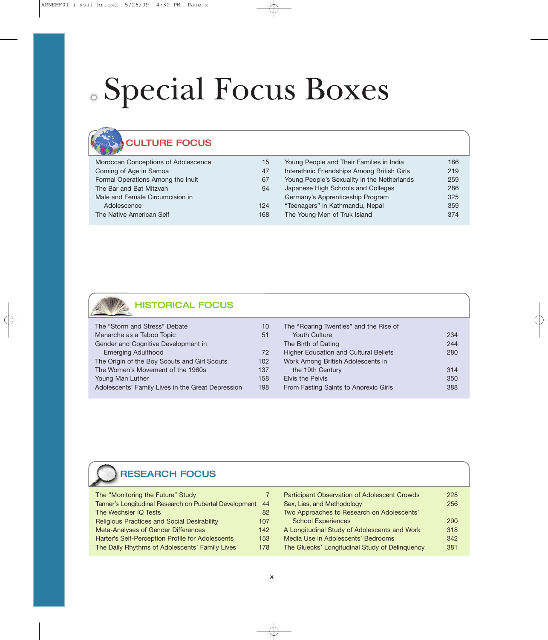# Special Focus Boxes

## CULTURE FOCUS

| Moroccan Conceptions of Adolescence | 15  | Young People and Their Families in India    | 186 |
|-------------------------------------|-----|---------------------------------------------|-----|
| Coming of Age in Samoa              | 47  | Interethnic Friendships Among British Girls | 219 |
| Formal Operations Among the Inuit   | 67  | Young People's Sexuality in the Netherlands | 259 |
| The Bar and Bat Mitzvah             | 94  | Japanese High Schools and Colleges          | 286 |
| Male and Female Circumcision in     |     | Germany's Apprenticeship Program            | 325 |
| Adolescence                         | 124 | "Teenagers" in Kathmandu, Nepal             | 359 |
| The Native American Self            | 168 | The Young Men of Truk Island                | 374 |
|                                     |     |                                             |     |



| The "Storm and Stress" Debate                     | 10  |
|---------------------------------------------------|-----|
| Menarche as a Taboo Topic                         | 51  |
| Gender and Cognitive Development in               |     |
| Emerging Adulthood                                | 72  |
| The Origin of the Boy Scouts and Girl Scouts      | 102 |
| The Women's Movement of the 1960s                 |     |
| Young Man Luther                                  |     |
| Adolescents' Family Lives in the Great Depression | 198 |
|                                                   |     |

| The "Roaring Twenties" and the Rise of       |     |
|----------------------------------------------|-----|
| <b>Youth Culture</b>                         | 234 |
| The Birth of Dating                          | 244 |
| <b>Higher Education and Cultural Beliefs</b> | 280 |
| Work Among British Adolescents in            |     |
| the 19th Century                             | 314 |
| <b>Elvis the Pelvis</b>                      | 350 |
| From Fasting Saints to Anorexic Girls        | 388 |
|                                              |     |

## RESEARCH FOCUS

| The "Monitoring the Future" Study                      |     | Participant Observation of Adolescent Crowds   | 228 |
|--------------------------------------------------------|-----|------------------------------------------------|-----|
| Tanner's Longitudinal Research on Pubertal Development | -44 | Sex, Lies, and Methodology                     | 256 |
| The Wechsler IQ Tests                                  | 82  | Two Approaches to Research on Adolescents'     |     |
| Religious Practices and Social Desirability            | 107 | <b>School Experiences</b>                      | 290 |
| Meta-Analyses of Gender Differences                    | 142 | A Longitudinal Study of Adolescents and Work   | 318 |
| Harter's Self-Perception Profile for Adolescents       | 153 | Media Use in Adolescents' Bedrooms             | 342 |
| The Daily Rhythms of Adolescents' Family Lives         | 178 | The Gluecks' Longitudinal Study of Delinquency | 381 |
|                                                        |     |                                                |     |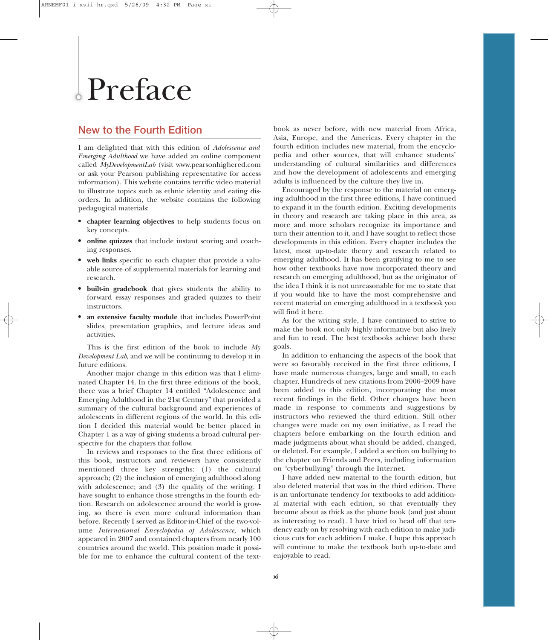# Preface

#### **New to the Fourth Edition**

I am delighted that with this edition of *Adolescence and Emerging Adulthood* we have added an online component called *MyDevelopmentLab* (visit www.pearsonhighered.com or ask your Pearson publishing representative for access information). This website contains terrific video material to illustrate topics such as ethnic identity and eating disorders. In addition, the website contains the following pedagogical materials:

- **• chapter learning objectives** to help students focus on key concepts.
- **• online quizzes** that include instant scoring and coaching responses.
- **• web links** specific to each chapter that provide a valuable source of supplemental materials for learning and research.
- **• built-in gradebook** that gives students the ability to forward essay responses and graded quizzes to their instructors.
- **• an extensive faculty module** that includes PowerPoint slides, presentation graphics, and lecture ideas and activities.

This is the first edition of the book to include *My Development Lab*, and we will be continuing to develop it in future editions.

Another major change in this edition was that I eliminated Chapter 14. In the first three editions of the book, there was a brief Chapter 14 entitled "Adolescence and Emerging Adulthood in the 21st Century" that provided a summary of the cultural background and experiences of adolescents in different regions of the world. In this edition I decided this material would be better placed in Chapter 1 as a way of giving students a broad cultural perspective for the chapters that follow.

In reviews and responses to the first three editions of this book, instructors and reviewers have consistently mentioned three key strengths: (1) the cultural approach; (2) the inclusion of emerging adulthood along with adolescence; and (3) the quality of the writing. I have sought to enhance those strengths in the fourth edition. Research on adolescence around the world is growing, so there is even more cultural information than before. Recently I served as Editor-in-Chief of the two-volume *International Encyclopedia of Adolescence*, which appeared in 2007 and contained chapters from nearly 100 countries around the world. This position made it possible for me to enhance the cultural content of the textbook as never before, with new material from Africa, Asia, Europe, and the Americas. Every chapter in the fourth edition includes new material, from the encyclopedia and other sources, that will enhance students' understanding of cultural similarities and differences and how the development of adolescents and emerging adults is influenced by the culture they live in.

Encouraged by the response to the material on emerging adulthood in the first three editions, I have continued to expand it in the fourth edition. Exciting developments in theory and research are taking place in this area, as more and more scholars recognize its importance and turn their attention to it, and I have sought to reflect those developments in this edition. Every chapter includes the latest, most up-to-date theory and research related to emerging adulthood. It has been gratifying to me to see how other textbooks have now incorporated theory and research on emerging adulthood, but as the originator of the idea I think it is not unreasonable for me to state that if you would like to have the most comprehensive and recent material on emerging adulthood in a textbook you will find it here.

As for the writing style, I have continued to strive to make the book not only highly informative but also lively and fun to read. The best textbooks achieve both these goals.

In addition to enhancing the aspects of the book that were so favorably received in the first three editions, I have made numerous changes, large and small, to each chapter. Hundreds of new citations from 2006–2009 have been added to this edition, incorporating the most recent findings in the field. Other changes have been made in response to comments and suggestions by instructors who reviewed the third edition. Still other changes were made on my own initiative, as I read the chapters before embarking on the fourth edition and made judgments about what should be added, changed, or deleted. For example, I added a section on bullying to the chapter on Friends and Peers, including information on "cyberbullying" through the Internet.

I have added new material to the fourth edition, but also deleted material that was in the third edition. There is an unfortunate tendency for textbooks to add additional material with each edition, so that eventually they become about as thick as the phone book (and just about as interesting to read). I have tried to head off that tendency early on by resolving with each edition to make judicious cuts for each addition I make. I hope this approach will continue to make the textbook both up-to-date and enjoyable to read.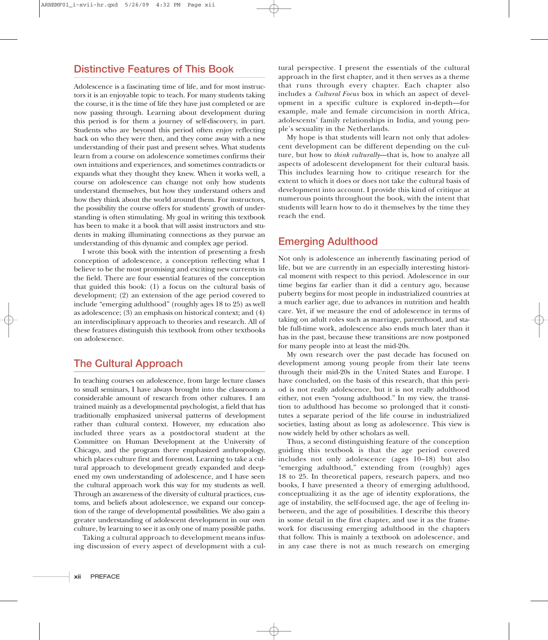#### **Distinctive Features of This Book**

Adolescence is a fascinating time of life, and for most instructors it is an enjoyable topic to teach. For many students taking the course, it is the time of life they have just completed or are now passing through. Learning about development during this period is for them a journey of self-discovery, in part. Students who are beyond this period often enjoy reflecting back on who they were then, and they come away with a new understanding of their past and present selves. What students learn from a course on adolescence sometimes confirms their own intuitions and experiences, and sometimes contradicts or expands what they thought they knew. When it works well, a course on adolescence can change not only how students understand themselves, but how they understand others and how they think about the world around them. For instructors, the possibility the course offers for students' growth of understanding is often stimulating. My goal in writing this textbook has been to make it a book that will assist instructors and students in making illuminating connections as they pursue an understanding of this dynamic and complex age period.

I wrote this book with the intention of presenting a fresh conception of adolescence, a conception reflecting what I believe to be the most promising and exciting new currents in the field. There are four essential features of the conception that guided this book: (1) a focus on the cultural basis of development; (2) an extension of the age period covered to include "emerging adulthood" (roughly ages 18 to 25) as well as adolescence; (3) an emphasis on historical context; and (4) an interdisciplinary approach to theories and research. All of these features distinguish this textbook from other textbooks on adolescence.

#### **The Cultural Approach**

In teaching courses on adolescence, from large lecture classes to small seminars, I have always brought into the classroom a considerable amount of research from other cultures. I am trained mainly as a developmental psychologist, a field that has traditionally emphasized universal patterns of development rather than cultural context. However, my education also included three years as a postdoctoral student at the Committee on Human Development at the University of Chicago, and the program there emphasized anthropology, which places culture first and foremost. Learning to take a cultural approach to development greatly expanded and deepened my own understanding of adolescence, and I have seen the cultural approach work this way for my students as well. Through an awareness of the diversity of cultural practices, customs, and beliefs about adolescence, we expand our conception of the range of developmental possibilities. We also gain a greater understanding of adolescent development in our own culture, by learning to see it as only one of many possible paths.

Taking a cultural approach to development means infusing discussion of every aspect of development with a cultural perspective. I present the essentials of the cultural approach in the first chapter, and it then serves as a theme that runs through every chapter. Each chapter also includes a *Cultural Focus* box in which an aspect of development in a specific culture is explored in-depth—for example, male and female circumcision in north Africa, adolescents' family relationships in India, and young people's sexuality in the Netherlands.

My hope is that students will learn not only that adolescent development can be different depending on the culture, but how to *think culturally*—that is, how to analyze all aspects of adolescent development for their cultural basis. This includes learning how to critique research for the extent to which it does or does not take the cultural basis of development into account. I provide this kind of critique at numerous points throughout the book, with the intent that students will learn how to do it themselves by the time they reach the end.

#### **Emerging Adulthood**

Not only is adolescence an inherently fascinating period of life, but we are currently in an especially interesting historical moment with respect to this period. Adolescence in our time begins far earlier than it did a century ago, because puberty begins for most people in industrialized countries at a much earlier age, due to advances in nutrition and health care. Yet, if we measure the end of adolescence in terms of taking on adult roles such as marriage, parenthood, and stable full-time work, adolescence also ends much later than it has in the past, because these transitions are now postponed for many people into at least the mid-20s.

My own research over the past decade has focused on development among young people from their late teens through their mid-20s in the United States and Europe. I have concluded, on the basis of this research, that this period is not really adolescence, but it is not really adulthood either, not even "young adulthood." In my view, the transition to adulthood has become so prolonged that it constitutes a separate period of the life course in industrialized societies, lasting about as long as adolescence. This view is now widely held by other scholars as well.

Thus, a second distinguishing feature of the conception guiding this textbook is that the age period covered includes not only adolescence (ages 10–18) but also "emerging adulthood," extending from (roughly) ages 18 to 25. In theoretical papers, research papers, and two books, I have presented a theory of emerging adulthood, conceptualizing it as the age of identity explorations, the age of instability, the self-focused age, the age of feeling inbetween, and the age of possibilities. I describe this theory in some detail in the first chapter, and use it as the framework for discussing emerging adulthood in the chapters that follow. This is mainly a textbook on adolescence, and in any case there is not as much research on emerging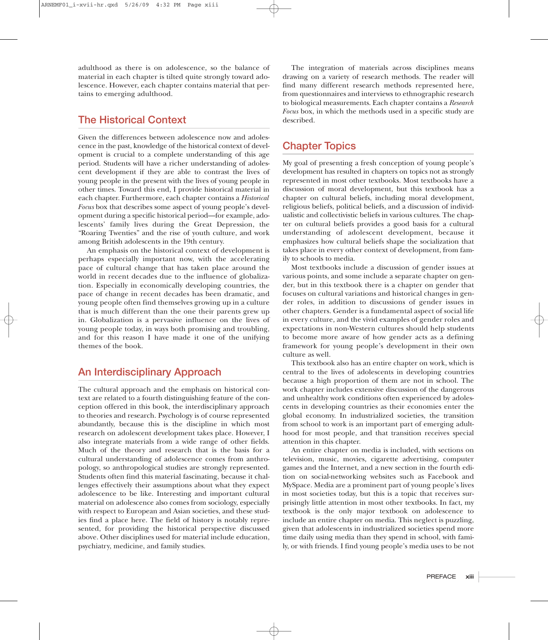adulthood as there is on adolescence, so the balance of material in each chapter is tilted quite strongly toward adolescence. However, each chapter contains material that pertains to emerging adulthood.

#### **The Historical Context**

Given the differences between adolescence now and adolescence in the past, knowledge of the historical context of development is crucial to a complete understanding of this age period. Students will have a richer understanding of adolescent development if they are able to contrast the lives of young people in the present with the lives of young people in other times. Toward this end, I provide historical material in each chapter. Furthermore, each chapter contains a *Historical Focus* box that describes some aspect of young people's development during a specific historical period—for example, adolescents' family lives during the Great Depression, the "Roaring Twenties" and the rise of youth culture, and work among British adolescents in the 19th century.

An emphasis on the historical context of development is perhaps especially important now, with the accelerating pace of cultural change that has taken place around the world in recent decades due to the influence of globalization. Especially in economically developing countries, the pace of change in recent decades has been dramatic, and young people often find themselves growing up in a culture that is much different than the one their parents grew up in. Globalization is a pervasive influence on the lives of young people today, in ways both promising and troubling, and for this reason I have made it one of the unifying themes of the book.

#### **An Interdisciplinary Approach**

The cultural approach and the emphasis on historical context are related to a fourth distinguishing feature of the conception offered in this book, the interdisciplinary approach to theories and research. Psychology is of course represented abundantly, because this is the discipline in which most research on adolescent development takes place. However, I also integrate materials from a wide range of other fields. Much of the theory and research that is the basis for a cultural understanding of adolescence comes from anthropology, so anthropological studies are strongly represented. Students often find this material fascinating, because it challenges effectively their assumptions about what they expect adolescence to be like. Interesting and important cultural material on adolescence also comes from sociology, especially with respect to European and Asian societies, and these studies find a place here. The field of history is notably represented, for providing the historical perspective discussed above. Other disciplines used for material include education, psychiatry, medicine, and family studies.

The integration of materials across disciplines means drawing on a variety of research methods. The reader will find many different research methods represented here, from questionnaires and interviews to ethnographic research to biological measurements. Each chapter contains a *Research Focus* box, in which the methods used in a specific study are described.

#### **Chapter Topics**

My goal of presenting a fresh conception of young people's development has resulted in chapters on topics not as strongly represented in most other textbooks. Most textbooks have a discussion of moral development, but this textbook has a chapter on cultural beliefs, including moral development, religious beliefs, political beliefs, and a discussion of individualistic and collectivistic beliefs in various cultures. The chapter on cultural beliefs provides a good basis for a cultural understanding of adolescent development, because it emphasizes how cultural beliefs shape the socialization that takes place in every other context of development, from family to schools to media.

Most textbooks include a discussion of gender issues at various points, and some include a separate chapter on gender, but in this textbook there is a chapter on gender that focuses on cultural variations and historical changes in gender roles, in addition to discussions of gender issues in other chapters. Gender is a fundamental aspect of social life in every culture, and the vivid examples of gender roles and expectations in non-Western cultures should help students to become more aware of how gender acts as a defining framework for young people's development in their own culture as well.

This textbook also has an entire chapter on work, which is central to the lives of adolescents in developing countries because a high proportion of them are not in school. The work chapter includes extensive discussion of the dangerous and unhealthy work conditions often experienced by adolescents in developing countries as their economies enter the global economy. In industrialized societies, the transition from school to work is an important part of emerging adulthood for most people, and that transition receives special attention in this chapter.

An entire chapter on media is included, with sections on television, music, movies, cigarette advertising, computer games and the Internet, and a new section in the fourth edition on social-networking websites such as Facebook and MySpace. Media are a prominent part of young people's lives in most societies today, but this is a topic that receives surprisingly little attention in most other textbooks. In fact, my textbook is the only major textbook on adolescence to include an entire chapter on media. This neglect is puzzling, given that adolescents in industrialized societies spend more time daily using media than they spend in school, with family, or with friends. I find young people's media uses to be not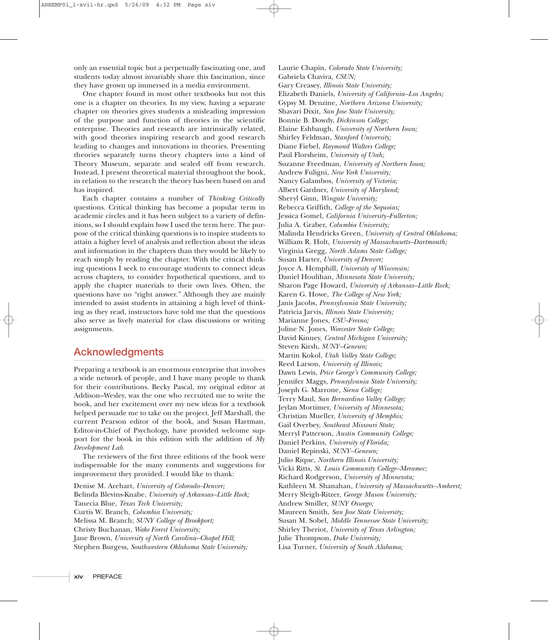only an essential topic but a perpetually fascinating one, and students today almost invariably share this fascination, since they have grown up immersed in a media environment.

One chapter found in most other textbooks but not this one is a chapter on theories. In my view, having a separate chapter on theories gives students a misleading impression of the purpose and function of theories in the scientific enterprise. Theories and research are intrinsically related, with good theories inspiring research and good research leading to changes and innovations in theories. Presenting theories separately turns theory chapters into a kind of Theory Museum, separate and sealed off from research. Instead, I present theoretical material throughout the book, in relation to the research the theory has been based on and has inspired.

Each chapter contains a number of *Thinking Critically* questions. Critical thinking has become a popular term in academic circles and it has been subject to a variety of definitions, so I should explain how I used the term here. The purpose of the critical thinking questions is to inspire students to attain a higher level of analysis and reflection about the ideas and information in the chapters than they would be likely to reach simply by reading the chapter. With the critical thinking questions I seek to encourage students to connect ideas across chapters, to consider hypothetical questions, and to apply the chapter materials to their own lives. Often, the questions have no "right answer." Although they are mainly intended to assist students in attaining a high level of thinking as they read, instructors have told me that the questions also serve as lively material for class discussions or writing assignments.

#### **Acknowledgments**

Preparing a textbook is an enormous enterprise that involves a wide network of people, and I have many people to thank for their contributions. Becky Pascal, my original editor at Addison–Wesley, was the one who recruited me to write the book, and her excitement over my new ideas for a textbook helped persuade me to take on the project. Jeff Marshall, the current Pearson editor of the book, and Susan Hartman, Editor-in-Chief of Psychology, have provided welcome support for the book in this edition with the addition of *My Development Lab*.

The reviewers of the first three editions of the book were indispensable for the many comments and suggestions for improvement they provided. I would like to thank:

Denise M. Arehart, *University of Colorado–Denver;* Belinda Blevins-Knabe, *University of Arkansas–Little Rock;* Tanecia Blue, *Texas Tech University;* Curtis W. Branch, *Columbia University;* Melissa M. Branch; *SUNY College of Brookport;* Christy Buchanan, *Wake Forest University;* Jane Brown, *University of North Carolina–Chapel Hill;* Stephen Burgess, *Southwestern Oklahoma State University;*

Laurie Chapin, *Colorado State University;* Gabriela Chavira, *CSUN;* Gary Creasey, *Illinois State University;* Elizabeth Daniels, *University of California–Los Angeles;* Gypsy M. Denzine, *Northern Arizona University;* Shavari Dixit, *San Jose State University;* Bonnie B. Dowdy, *Dickinson College;* Elaine Eshbaugh, *University of Northern Iowa;*  Shirley Feldman, *Stanford University;* Diane Fiebel, *Raymond Walters College;* Paul Florsheim, *University of Utah;* Suzanne Freedman, *University of Northern Iowa;*  Andrew Fuligni, *New York University;* Nancy Galambos, *University of Victoria;* Albert Gardner, *University of Maryland;* Sheryl Ginn, *Wingate University;* Rebecca Griffith, *College of the Sequoias;* Jessica Gomel, *California University–Fullerton;* Julia A. Graber, *Columbia University;* Malinda Hendricks Green, *University of Central Oklahoma;* William R. Holt, *University of Massachusetts–Dartmouth;* Virginia Gregg, *North Adams State College;* Susan Harter, *University of Denver;* Joyce A. Hemphill, *University of Wisconsin;* Daniel Houlihan, *Minnesota State University;* Sharon Page Howard, *University of Arkansas–Little Rock;* Karen G. Howe, *The College of New York;* Janis Jacobs, *Pennsylvania State University;* Patricia Jarvis, *Illinois State University;* Marianne Jones, *CSU–Fresno;* Joline N. Jones, *Worcester State College;* David Kinney, *Central Michigan University;* Steven Kirsh, *SUNY–Geneseo;* Martin Kokol, *Utah Valley State College;* Reed Larson, *University of Illinois;* Dawn Lewis, *Price George's Community College;* Jennifer Maggs, *Pennsylvania State University;* Joseph G. Marrone, *Siena College;* Terry Maul, *San Bernardino Valley College;* Jeylan Mortimer, *University of Minnesota;* Christian Mueller, *University of Memphis;* Gail Overbey, *Southeast Missouri State;* Merryl Patterson, *Austin Community College;* Daniel Perkins, *University of Florida;* Daniel Repinski, *SUNY–Geneseo;* Julio Rique, *Northern Illinois University;* Vicki Ritts, *St. Louis Community College--Meramec;* Richard Rodgerson, *University of Minnesota;* Kathleen M. Shanahan, *University of Massachusetts–Amherst;* Merry Sleigh-Ritzer, *George Mason University;* Andrew Smiller, *SUNY Oswego;* Maureen Smith, *San Jose State University;* Susan M. Sobel, *Middle Tennessee State University;* Shirley Theriot, *University of Texas Arlington;* Julie Thompson, *Duke University;* Lisa Turner, *University of South Alabama;*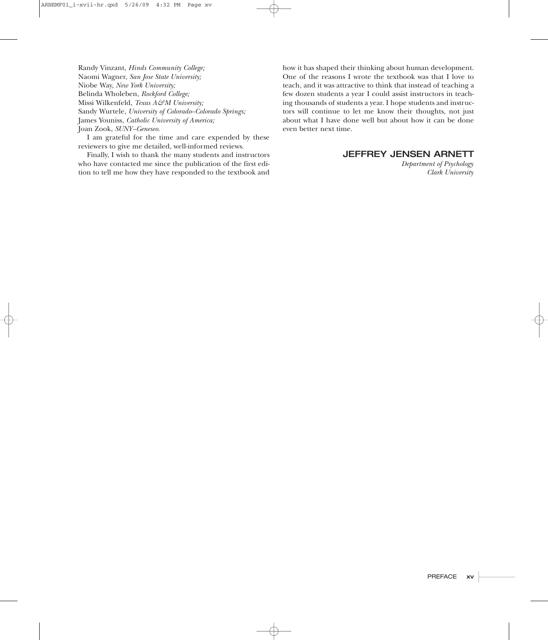Randy Vinzant, *Hinds Community College;* Naomi Wagner, *San Jose State University;* Niobe Way, *New York University;* Belinda Wholeben, *Rockford College;* Missi Wilkenfeld, *Texas A&M University;* Sandy Wurtele, *University of Colorado–Colorado Springs;* James Youniss, *Catholic University of America;* Joan Zook, *SUNY–Geneseo.* 

I am grateful for the time and care expended by these reviewers to give me detailed, well-informed reviews.

Finally, I wish to thank the many students and instructors who have contacted me since the publication of the first edition to tell me how they have responded to the textbook and

how it has shaped their thinking about human development. One of the reasons I wrote the textbook was that I love to teach, and it was attractive to think that instead of teaching a few dozen students a year I could assist instructors in teaching thousands of students a year. I hope students and instructors will continue to let me know their thoughts, not just about what I have done well but about how it can be done even better next time.

#### JEFFREY JENSEN ARNETT

*Department of Psychology Clark University*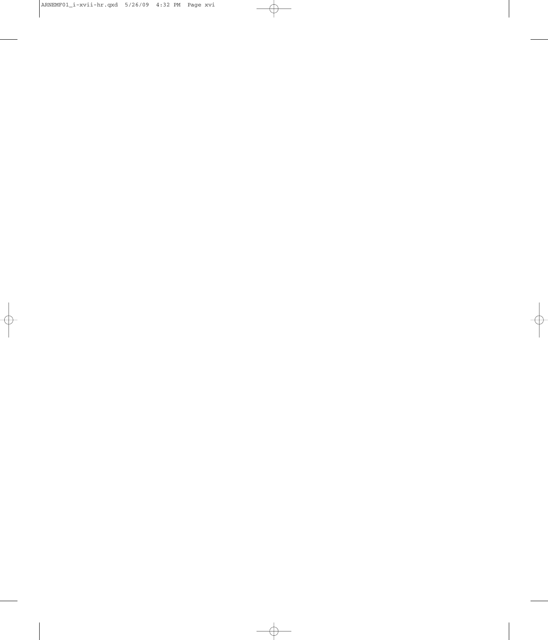ARNEMF01\_i-xvii-hr.qxd 5/26/09 4:32 PM Page xvi

 $\overline{\mathrm{D}}$ 

 $\bigoplus$ 

 $\overline{\bigoplus}$